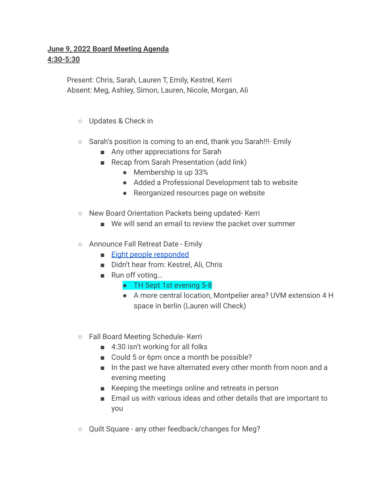## **June 9, 2022 Board Meeting Agenda 4:30-5:30**

Present: Chris, Sarah, Lauren T, Emily, Kestrel, Kerri Absent: Meg, Ashley, Simon, Lauren, Nicole, Morgan, Ali

- Updates & Check in
- Sarah's position is coming to an end, thank you Sarah!!!- Emily
	- Any other appreciations for Sarah
	- Recap from Sarah Presentation (add link)
		- Membership is up 33%
		- Added a Professional Development tab to website
		- Reorganized resources page on website
- New Board Orientation Packets being updated- Kerri
	- We will send an email to review the packet over summer
- Announce Fall Retreat Date Emily
	- [Eight people responded](https://doodle.com/meeting/participate/id/axkA853e)
	- Didn't hear from: Kestrel, Ali, Chris
	- Run off voting...
		- TH Sept 1st evening 5-8
		- A more central location, Montpelier area? UVM extension 4 H space in berlin (Lauren will Check)
- Fall Board Meeting Schedule- Kerri
	- 4:30 isn't working for all folks
	- Could 5 or 6pm once a month be possible?
	- In the past we have alternated every other month from noon and a evening meeting
	- Keeping the meetings online and retreats in person
	- Email us with various ideas and other details that are important to you
- Quilt Square any other feedback/changes for Meg?